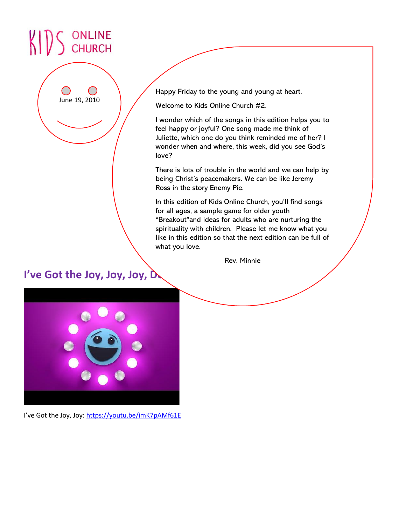# ONLINE<br>CHURCH

June 19, 2010

Happy Friday to the young and young at heart.

**Songs** Welcome to Kids Online Church #2.

I wonder which of the songs in this edition helps you to feel happy or joyful? One song made me think of Juliette, which one do you think reminded me of her? I wonder when and where, this week, did you see God's love?

There is lots of trouble in the world and we can help by being Christ's peacemakers. We can be like Jeremy Ross in the story Enemy Pie.

In this edition of Kids Online Church, you'll find songs for all ages, a sample game for older youth "Breakout"and ideas for adults who are nurturing the spirituality with children. Please let me know what you like in this edition so that the next edition can be full of what you love.

Rev. Minnie

# I've Got the Joy, Joy, Joy, D



I've Got the Joy, Joy: <https://youtu.be/imK7pAMf61E>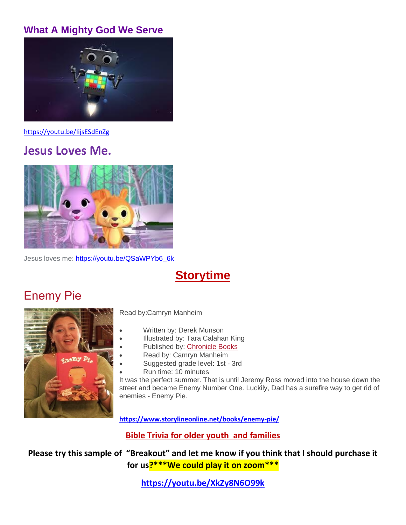#### **[What A Mighty God We Serve](https://www.youtube.com/watch?v=IijsESdEnZg)**



<https://youtu.be/IijsESdEnZg>

### **Jesus Loves Me.**



Jesus loves me: [https://youtu.be/QSaWPYb6\\_6k](https://youtu.be/QSaWPYb6_6k)

# **Storytime**

# Enemy Pie



Read by:Camryn Manheim

- Written by: Derek Munson
- Illustrated by: Tara Calahan King
- Published by: [Chronicle Books](http://www.chroniclebooks.com/)
	- Read by: Camryn Manheim
- Suggested grade level: 1st 3rd
- Run time: 10 minutes

It was the perfect summer. That is until Jeremy Ross moved into the house down the street and became Enemy Number One. Luckily, Dad has a surefire way to get rid of enemies - Enemy Pie.

**<https://www.storylineonline.net/books/enemy-pie/>**

**Bible Trivia for older youth and families**

**Please try this sample of "Breakout" and let me know if you think that I should purchase it for us?\*\*\*We could play it on zoom\*\*\***

**<https://youtu.be/XkZy8N6O99k>**